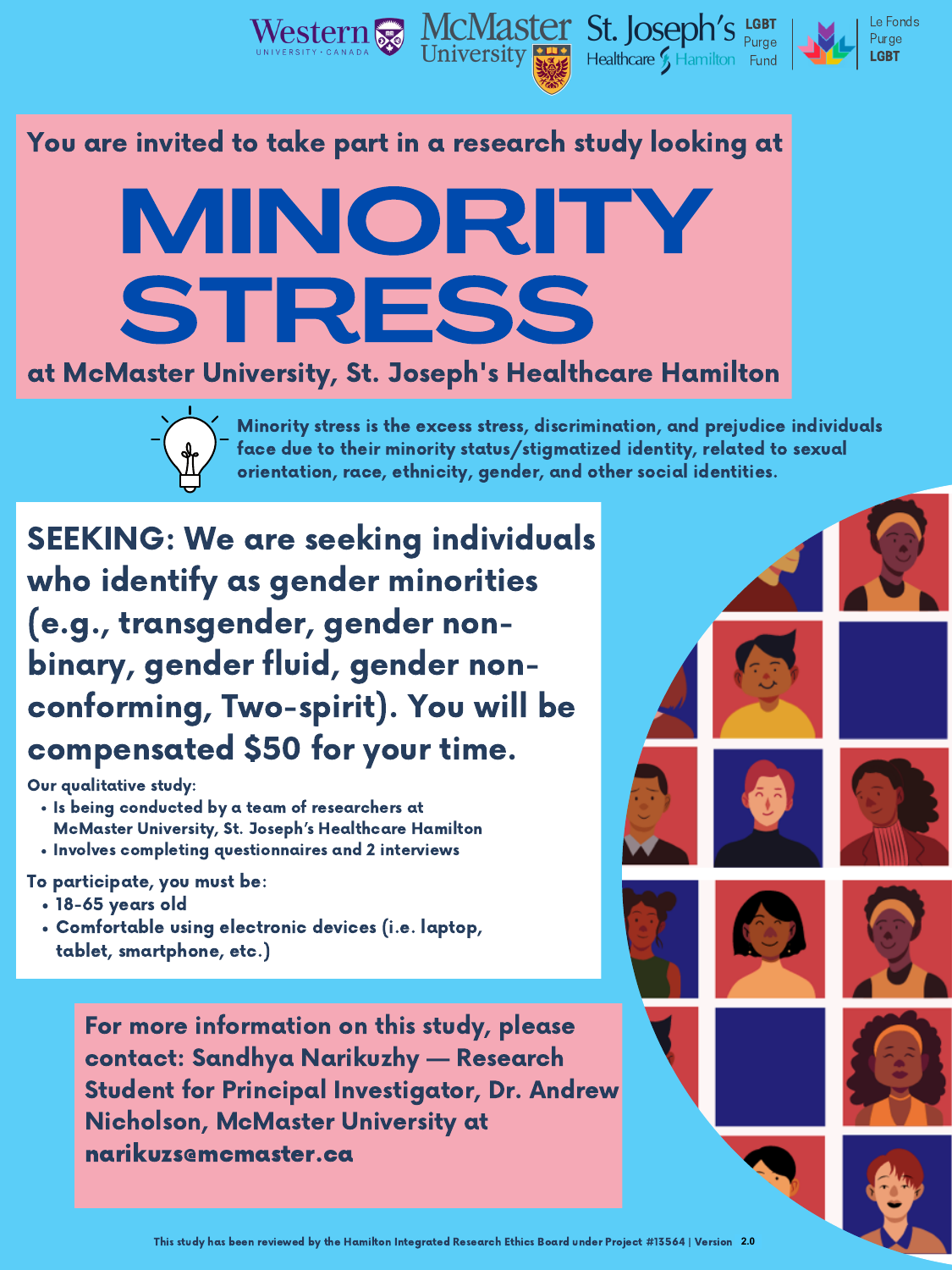### You are invited to take part in a research study looking at



### at McMaster University, St. Joseph's Healthcare Hamilton



SEEKING: We are seeking individuals who identify as gender minorities (e.g., transgender, gender non-



## binary, gender fluid, gender nonconforming, Two-spirit). You will be compensated \$50 for your time.

Our qualitative study:

- . Is being conducted by a team of researchers at McMaster University, St. Joseph's Healthcare Hamilton
- . Involves completing questionnaires and 2 interviews

- 18-65 years old
- Comfortable using electronic devices (i.e. laptop, tablet, smartphone, etc.)

To participate, you must be:

Minority stress is the excess stress, discrimination, and prejudice individuals face due to their minority status/stigmatized identity, related to sexual orientation, race, ethnicity, gender, and other social identities.

For more information on this study, please contact: Sandhya Narikuzhy — Research Student for Principal Investigator, Dr. Andrew Nicholson, McMaster University at narikuzs@mcmaster.ca







Le Fonds Purge LGBT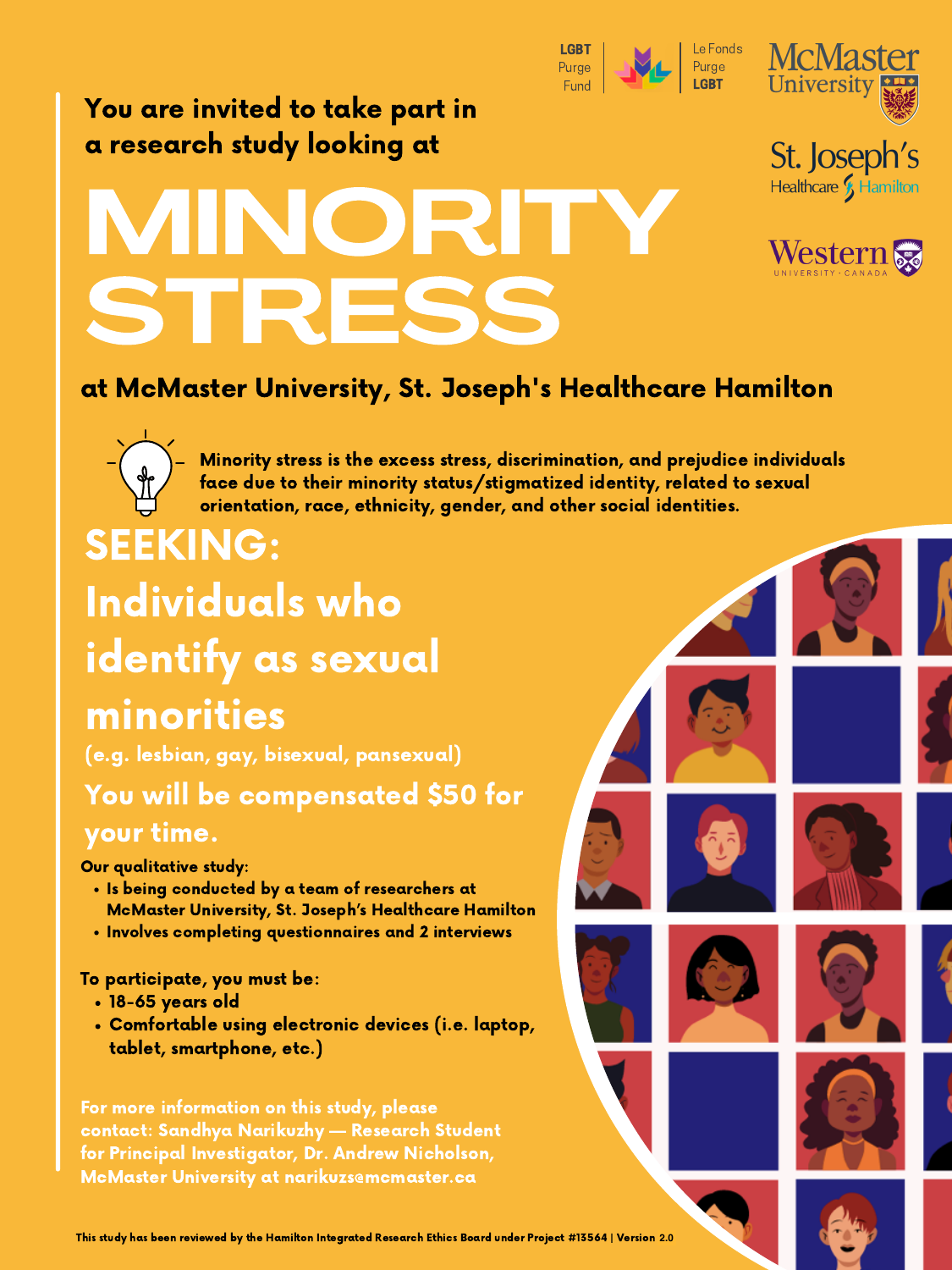# MINORITY STRESS



St. Joseph's

Healthcare S Hamilton

You are invited to take part in a research study looking at

SEEKING: Individuals who identify as sexual



#### at McMaster University, St. Joseph's Healthcare Hamilton



Minority stress is the excess stress, discrimination, and prejudice individuals face due to their minority status/stigmatized identity, related to sexual orientation, race, ethnicity, gender, and other social identities.

For more information on this study, please contact: Sandhya Narikuzhy — Research Student for Principal Investigator, Dr. Andrew Nicholson, McMaster University at narikuzsemcmaster.ca



Our qualitative study:

- . Is being conducted by a team of researchers at McMaster University, St. Joseph's Healthcare Hamilton
- . Involves completing questionnaires and 2 interviews

## minorities (e.g. lesbian, gay, bisexual, pansexual) You will be compensated \$50 for your time.

- 18-65 years old
- Comfortable using electronic devices (i.e. laptop, tablet, smartphone, etc.)

#### To participate, you must be:

This study has been reviewed by the Hamilton Integrated Research Ethics Board under Project #13564 | Version 1.0 **2.0**